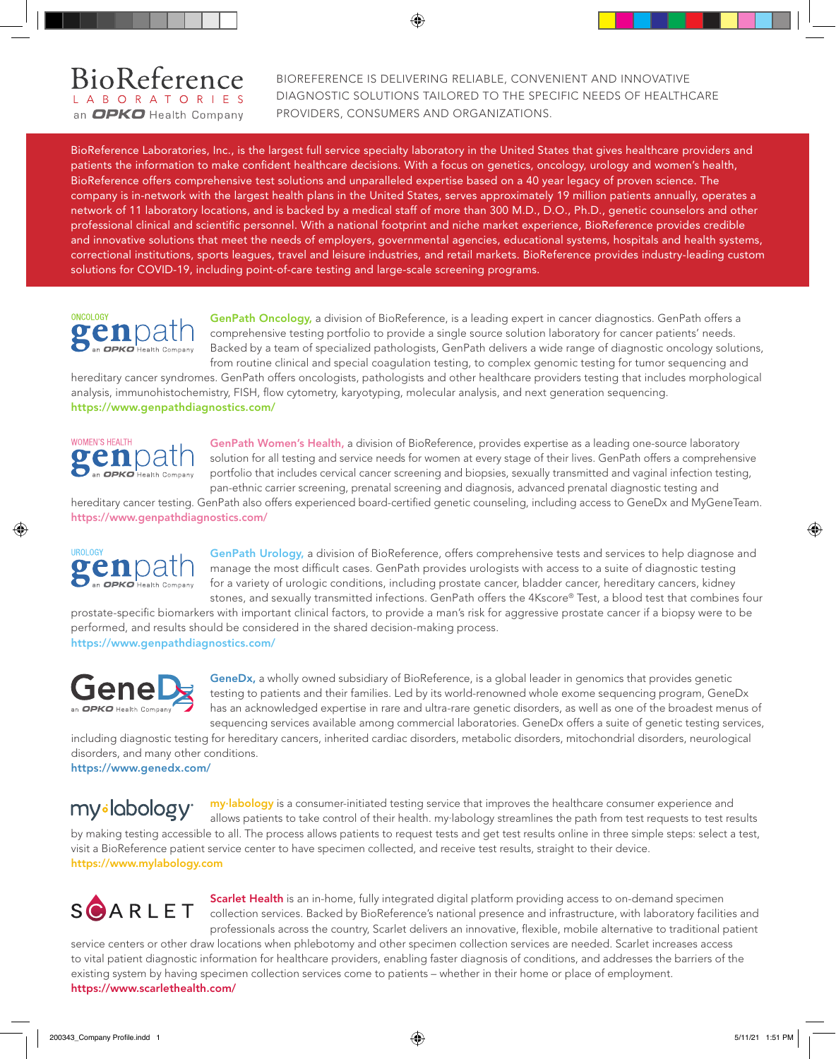## BioReference an OPKO Health Company

## BIOREFERENCE IS DELIVERING RELIABLE, CONVENIENT AND INNOVATIVE DIAGNOSTIC SOLUTIONS TAILORED TO THE SPECIFIC NEEDS OF HEALTHCARE PROVIDERS, CONSUMERS AND ORGANIZATIONS.

BioReference Laboratories, Inc., is the largest full service specialty laboratory in the United States that gives healthcare providers and patients the information to make confident healthcare decisions. With a focus on genetics, oncology, urology and women's health, BioReference offers comprehensive test solutions and unparalleled expertise based on a 40 year legacy of proven science. The company is in-network with the largest health plans in the United States, serves approximately 19 million patients annually, operates a network of 11 laboratory locations, and is backed by a medical staff of more than 300 M.D., D.O., Ph.D., genetic counselors and other professional clinical and scientific personnel. With a national footprint and niche market experience, BioReference provides credible and innovative solutions that meet the needs of employers, governmental agencies, educational systems, hospitals and health systems, correctional institutions, sports leagues, travel and leisure industries, and retail markets. BioReference provides industry-leading custom solutions for COVID-19, including point-of-care testing and large-scale screening programs.



GenPath Oncology, a division of BioReference, is a leading expert in cancer diagnostics. GenPath offers a comprehensive testing portfolio to provide a single source solution laboratory for cancer patients' needs. Backed by a team of specialized pathologists, GenPath delivers a wide range of diagnostic oncology solutions, from routine clinical and special coagulation testing, to complex genomic testing for tumor sequencing and

hereditary cancer syndromes. GenPath offers oncologists, pathologists and other healthcare providers testing that includes morphological analysis, immunohistochemistry, FISH, flow cytometry, karyotyping, molecular analysis, and next generation sequencing. https://www.genpathdiagnostics.com/



GenPath Women's Health, a division of BioReference, provides expertise as a leading one-source laboratory solution for all testing and service needs for women at every stage of their lives. GenPath offers a comprehensive portfolio that includes cervical cancer screening and biopsies, sexually transmitted and vaginal infection testing, pan-ethnic carrier screening, prenatal screening and diagnosis, advanced prenatal diagnostic testing and

hereditary cancer testing. GenPath also offers experienced board-certified genetic counseling, including access to GeneDx and MyGeneTeam. https://www.genpathdiagnostics.com/



GenPath Urology, a division of BioReference, offers comprehensive tests and services to help diagnose and manage the most difficult cases. GenPath provides urologists with access to a suite of diagnostic testing for a variety of urologic conditions, including prostate cancer, bladder cancer, hereditary cancers, kidney stones, and sexually transmitted infections. GenPath offers the 4Kscore® Test, a blood test that combines four

prostate-specific biomarkers with important clinical factors, to provide a man's risk for aggressive prostate cancer if a biopsy were to be performed, and results should be considered in the shared decision-making process. https://www.genpathdiagnostics.com/



GeneDx, a wholly owned subsidiary of BioReference, is a global leader in genomics that provides genetic testing to patients and their families. Led by its world-renowned whole exome sequencing program, GeneDx has an acknowledged expertise in rare and ultra-rare genetic disorders, as well as one of the broadest menus of sequencing services available among commercial laboratories. GeneDx offers a suite of genetic testing services,

including diagnostic testing for hereditary cancers, inherited cardiac disorders, metabolic disorders, mitochondrial disorders, neurological disorders, and many other conditions.

https://www.genedx.com/

my<sub>sl</sub>abology<sup>®</sup>

my·labology is a consumer-initiated testing service that improves the healthcare consumer experience and allows patients to take control of their health. my·labology streamlines the path from test requests to test results by making testing accessible to all. The process allows patients to request tests and get test results online in three simple steps: select a test, visit a BioReference patient service center to have specimen collected, and receive test results, straight to their device. https://www.mylabology.com



Scarlet Health is an in-home, fully integrated digital platform providing access to on-demand specimen collection services. Backed by BioReference's national presence and infrastructure, with laboratory facilities and professionals across the country, Scarlet delivers an innovative, flexible, mobile alternative to traditional patient

service centers or other draw locations when phlebotomy and other specimen collection services are needed. Scarlet increases access to vital patient diagnostic information for healthcare providers, enabling faster diagnosis of conditions, and addresses the barriers of the existing system by having specimen collection services come to patients – whether in their home or place of employment. https://www.scarlethealth.com/